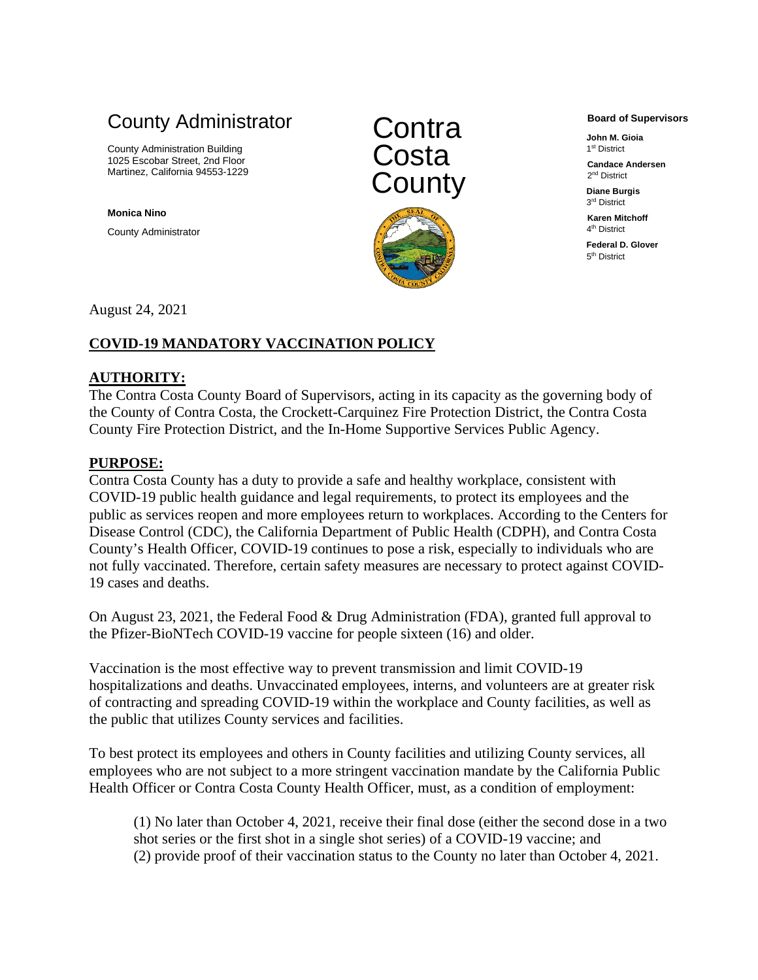# County Administrator

County Administration Building 1025 Escobar Street, 2nd Floor Martinez, California 94553-1229

**Monica Nino**

County Administrator





**Board of Supervisors**

**John M. Gioia** 1st District

**Candace Andersen** 2nd District

**Diane Burgis** 3rd District

**Karen Mitchoff** 4<sup>th</sup> District

**Federal D. Glover** 5th District

August 24, 2021

# **COVID-19 MANDATORY VACCINATION POLICY**

## **AUTHORITY:**

The Contra Costa County Board of Supervisors, acting in its capacity as the governing body of the County of Contra Costa, the Crockett-Carquinez Fire Protection District, the Contra Costa County Fire Protection District, and the In-Home Supportive Services Public Agency.

## **PURPOSE:**

Contra Costa County has a duty to provide a safe and healthy workplace, consistent with COVID-19 public health guidance and legal requirements, to protect its employees and the public as services reopen and more employees return to workplaces. According to the Centers for Disease Control (CDC), the California Department of Public Health (CDPH), and Contra Costa County's Health Officer, COVID-19 continues to pose a risk, especially to individuals who are not fully vaccinated. Therefore, certain safety measures are necessary to protect against COVID-19 cases and deaths.

On August 23, 2021, the Federal Food & Drug Administration (FDA), granted full approval to the Pfizer-BioNTech COVID-19 vaccine for people sixteen (16) and older.

Vaccination is the most effective way to prevent transmission and limit COVID-19 hospitalizations and deaths. Unvaccinated employees, interns, and volunteers are at greater risk of contracting and spreading COVID-19 within the workplace and County facilities, as well as the public that utilizes County services and facilities.

To best protect its employees and others in County facilities and utilizing County services, all employees who are not subject to a more stringent vaccination mandate by the California Public Health Officer or Contra Costa County Health Officer, must, as a condition of employment:

(1) No later than October 4, 2021, receive their final dose (either the second dose in a two shot series or the first shot in a single shot series) of a COVID-19 vaccine; and (2) provide proof of their vaccination status to the County no later than October 4, 2021.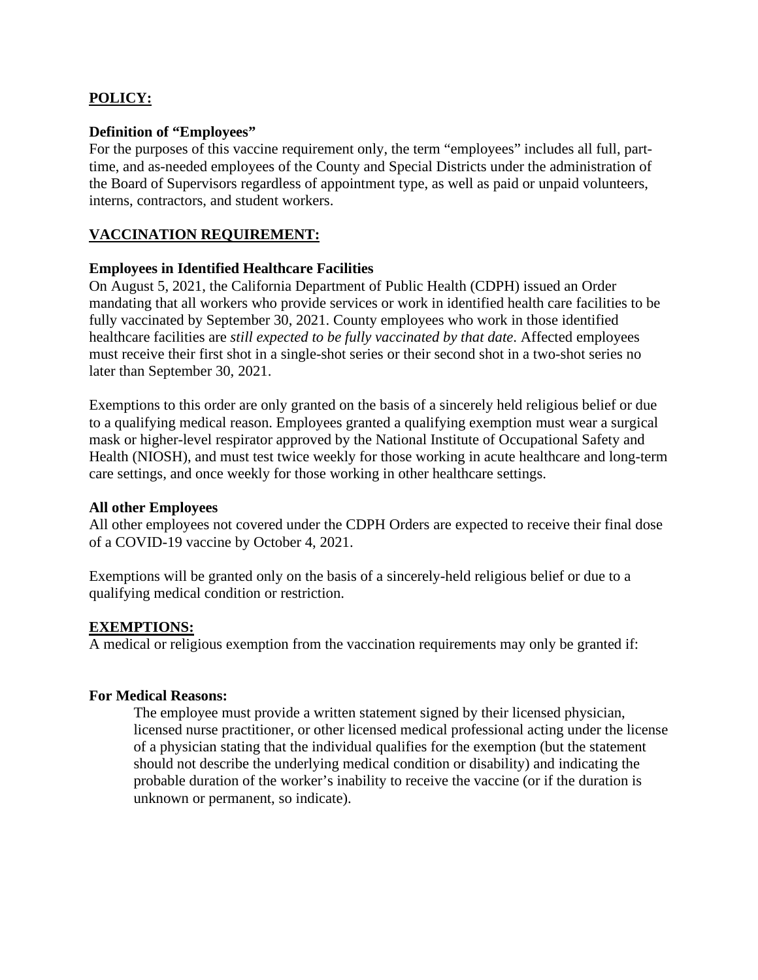# **POLICY:**

#### **Definition of "Employees"**

For the purposes of this vaccine requirement only, the term "employees" includes all full, parttime, and as-needed employees of the County and Special Districts under the administration of the Board of Supervisors regardless of appointment type, as well as paid or unpaid volunteers, interns, contractors, and student workers.

### **VACCINATION REQUIREMENT:**

#### **Employees in Identified Healthcare Facilities**

On August 5, 2021, the California Department of Public Health (CDPH) issued an Order mandating that all workers who provide services or work in identified health care facilities to be fully vaccinated by September 30, 2021. County employees who work in those identified healthcare facilities are *still expected to be fully vaccinated by that date*. Affected employees must receive their first shot in a single-shot series or their second shot in a two-shot series no later than September 30, 2021.

Exemptions to this order are only granted on the basis of a sincerely held religious belief or due to a qualifying medical reason. Employees granted a qualifying exemption must wear a surgical mask or higher-level respirator approved by the National Institute of Occupational Safety and Health (NIOSH), and must test twice weekly for those working in acute healthcare and long-term care settings, and once weekly for those working in other healthcare settings.

#### **All other Employees**

All other employees not covered under the CDPH Orders are expected to receive their final dose of a COVID-19 vaccine by October 4, 2021.

Exemptions will be granted only on the basis of a sincerely-held religious belief or due to a qualifying medical condition or restriction.

#### **EXEMPTIONS:**

A medical or religious exemption from the vaccination requirements may only be granted if:

#### **For Medical Reasons:**

The employee must provide a written statement signed by their licensed physician, licensed nurse practitioner, or other licensed medical professional acting under the license of a physician stating that the individual qualifies for the exemption (but the statement should not describe the underlying medical condition or disability) and indicating the probable duration of the worker's inability to receive the vaccine (or if the duration is unknown or permanent, so indicate).